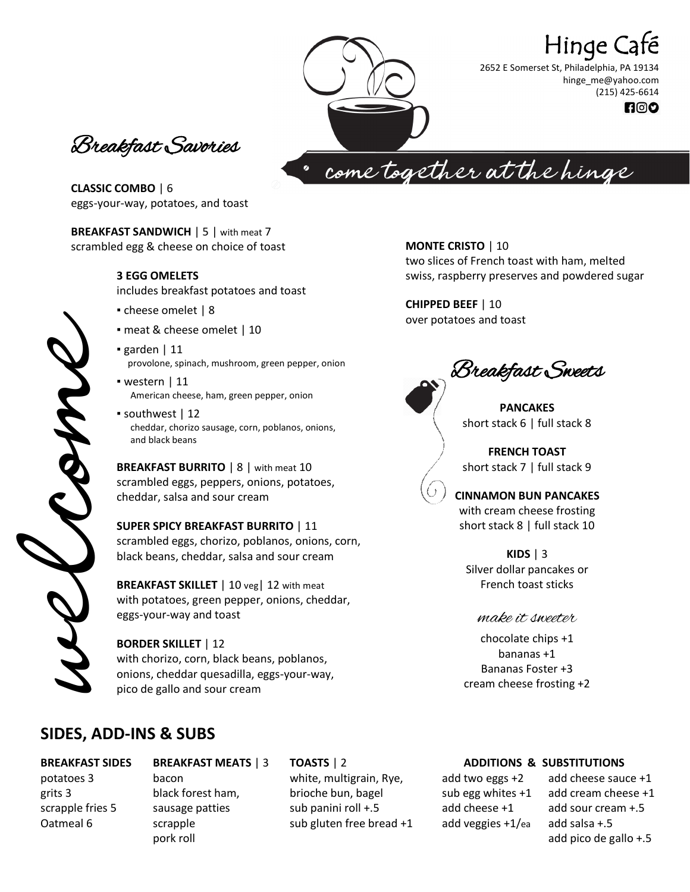# Hinge Café

2652 E Somerset St, Philadelphia, PA 19134 hinge\_me@yahoo.com (215) 425-6614 $P^{\circ}$ 

Breakfast Savories

come together at the hinge

**CLASSIC COMBO** | 6 eggs-your-way, potatoes, and toast

**BREAKFAST SANDWICH** | 5 | with meat 7 scrambled egg & cheese on choice of toast

#### **3 EGG OMELETS**

includes breakfast potatoes and toast

- cheese omelet | 8
- meat & cheese omelet | 10
- garden | 11 provolone, spinach, mushroom, green pepper, onion
- $\blacksquare$  western | 11 American cheese, ham, green pepper, onion
- southwest | 12 cheddar, chorizo sausage, corn, poblanos, onions, and black beans

**BREAKFAST BURRITO** | 8 | with meat 10 scrambled eggs, peppers, onions, potatoes, cheddar, salsa and sour cream

**SUPER SPICY BREAKFAST BURRITO** | 11 scrambled eggs, chorizo, poblanos, onions, corn, black beans, cheddar, salsa and sour cream

**BREAKFAST SKILLET** | 10 veg | 12 with meat with potatoes, green pepper, onions, cheddar, eggs-your-way and toast

#### **BORDER SKILLET** | 12 with chorizo, corn, black beans, poblanos, onions, cheddar quesadilla, eggs-your-way, pico de gallo and sour cream

# **SIDES, ADD-INS & SUBS**

#### **BREAKFAST SIDES** potatoes 3 grits 3 scrapple fries 5 Oatmeal 6

**BREAKFAST MEATS** | 3 bacon black forest ham, sausage patties scrapple pork roll

#### **TOASTS** | 2

white, multigrain, Rye, brioche bun, bagel sub panini roll +.5 sub gluten free bread +1

**MONTE CRISTO** | 10 two slices of French toast with ham, melted swiss, raspberry preserves and powdered sugar

**CHIPPED BEEF** | 10 over potatoes and toast

Breakfast Sweets

**PANCAKES** short stack 6 | full stack 8

**FRENCH TOAST** short stack 7 | full stack 9

**CINNAMON BUN PANCAKES** with cream cheese frosting short stack 8 | full stack 10

**KIDS** | 3 Silver dollar pancakes or French toast sticks

#### make it sweeter

chocolate chips +1 bananas +1 Bananas Foster +3 cream cheese frosting +2

### **ADDITIONS & SUBSTITUTIONS**

add two eggs +2 sub egg whites +1 add cheese +1 add veggies +1/ea

add cheese sauce +1 add cream cheese +1 add sour cream +.5 add salsa +.5 add pico de gallo +.5

welcome